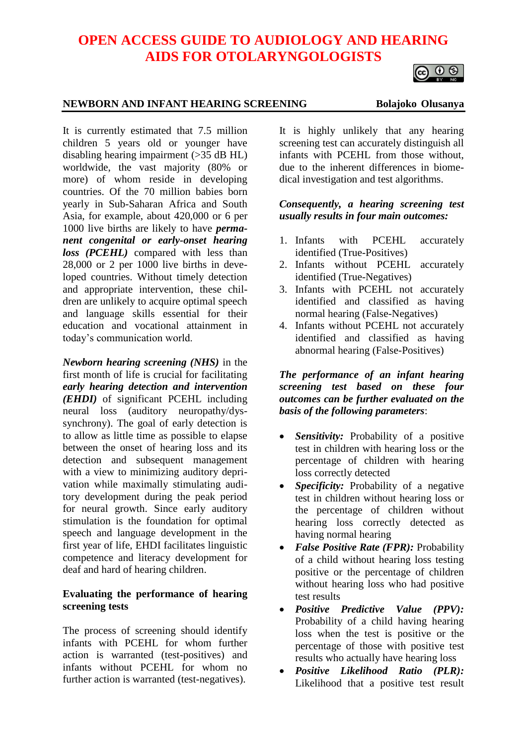# **OPEN ACCESS GUIDE TO AUDIOLOGY AND HEARING AIDS FOR OTOLARYNGOLOGISTS**

# 

#### **NEWBORN AND INFANT HEARING SCREENING Bolajoko Olusanya**

It is currently estimated that 7.5 million children 5 years old or younger have disabling hearing impairment (>35 dB HL) worldwide, the vast majority (80% or more) of whom reside in developing countries. Of the 70 million babies born yearly in Sub-Saharan Africa and South Asia, for example, about 420,000 or 6 per 1000 live births are likely to have *permanent congenital or early-onset hearing loss (PCEHL)* compared with less than 28,000 or 2 per 1000 live births in developed countries. Without timely detection and appropriate intervention, these children are unlikely to acquire optimal speech and language skills essential for their education and vocational attainment in today's communication world.

*Newborn hearing screening (NHS)* in the first month of life is crucial for facilitating *early hearing detection and intervention (EHDI)* of significant PCEHL including neural loss (auditory neuropathy/dyssynchrony). The goal of early detection is to allow as little time as possible to elapse between the onset of hearing loss and its detection and subsequent management with a view to minimizing auditory deprivation while maximally stimulating auditory development during the peak period for neural growth. Since early auditory stimulation is the foundation for optimal speech and language development in the first year of life, EHDI facilitates linguistic competence and literacy development for deaf and hard of hearing children.

#### **Evaluating the performance of hearing screening tests**

The process of screening should identify infants with PCEHL for whom further action is warranted (test-positives) and infants without PCEHL for whom no further action is warranted (test-negatives).

It is highly unlikely that any hearing screening test can accurately distinguish all infants with PCEHL from those without, due to the inherent differences in biomedical investigation and test algorithms.

#### *Consequently, a hearing screening test usually results in four main outcomes:*

- 1. Infants with PCEHL accurately identified (True-Positives)
- 2. Infants without PCEHL accurately identified (True-Negatives)
- 3. Infants with PCEHL not accurately identified and classified as having normal hearing (False-Negatives)
- 4. Infants without PCEHL not accurately identified and classified as having abnormal hearing (False-Positives)

*The performance of an infant hearing screening test based on these four outcomes can be further evaluated on the basis of the following parameters*:

- *Sensitivity:* Probability of a positive test in children with hearing loss or the percentage of children with hearing loss correctly detected
- *Specificity:* Probability of a negative test in children without hearing loss or the percentage of children without hearing loss correctly detected as having normal hearing
- *False Positive Rate (FPR):* Probability of a child without hearing loss testing positive or the percentage of children without hearing loss who had positive test results
- *Positive Predictive Value (PPV):* Probability of a child having hearing loss when the test is positive or the percentage of those with positive test results who actually have hearing loss
- *Positive Likelihood Ratio (PLR):* Likelihood that a positive test result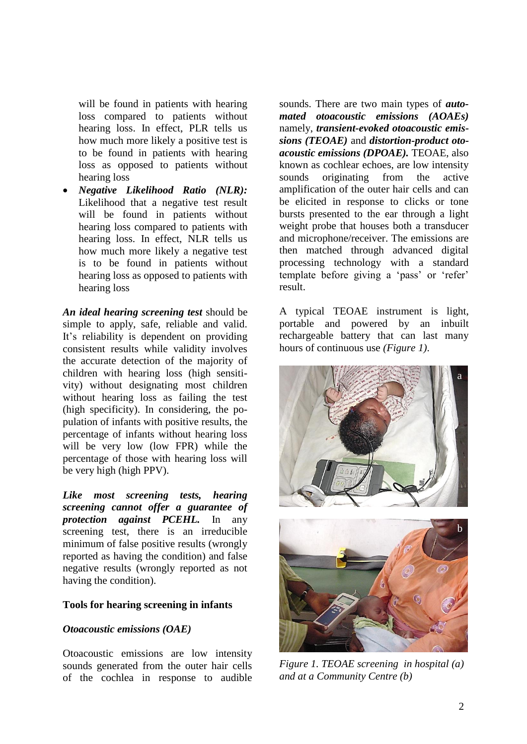will be found in patients with hearing loss compared to patients without hearing loss. In effect, PLR tells us how much more likely a positive test is to be found in patients with hearing loss as opposed to patients without hearing loss

• *Negative Likelihood Ratio (NLR):* Likelihood that a negative test result will be found in patients without hearing loss compared to patients with hearing loss. In effect, NLR tells us how much more likely a negative test is to be found in patients without hearing loss as opposed to patients with hearing loss

*An ideal hearing screening test* should be simple to apply, safe, reliable and valid. It's reliability is dependent on providing consistent results while validity involves the accurate detection of the majority of children with hearing loss (high sensitivity) without designating most children without hearing loss as failing the test (high specificity). In considering, the population of infants with positive results, the percentage of infants without hearing loss will be very low (low FPR) while the percentage of those with hearing loss will be very high (high PPV).

*Like most screening tests, hearing screening cannot offer a guarantee of protection against PCEHL.* In any screening test, there is an irreducible minimum of false positive results (wrongly reported as having the condition) and false negative results (wrongly reported as not having the condition).

#### **Tools for hearing screening in infants**

#### *Otoacoustic emissions (OAE)*

Otoacoustic emissions are low intensity sounds generated from the outer hair cells of the cochlea in response to audible

sounds. There are two main types of *automated otoacoustic emissions (AOAEs)* namely, *transient-evoked otoacoustic emissions (TEOAE)* and *distortion-product otoacoustic emissions (DPOAE).* TEOAE, also known as cochlear echoes, are low intensity sounds originating from the active amplification of the outer hair cells and can be elicited in response to clicks or tone bursts presented to the ear through a light weight probe that houses both a transducer and microphone/receiver. The emissions are then matched through advanced digital processing technology with a standard template before giving a 'pass' or 'refer' result.

A typical TEOAE instrument is light, portable and powered by an inbuilt rechargeable battery that can last many hours of continuous use *(Figure 1)*.



*Figure 1. TEOAE screening in hospital (a) and at a Community Centre (b)*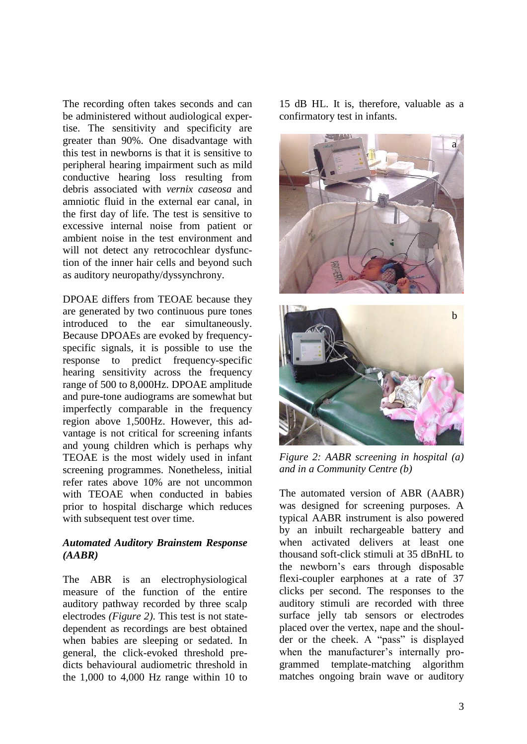The recording often takes seconds and can be administered without audiological expertise. The sensitivity and specificity are greater than 90%. One disadvantage with this test in newborns is that it is sensitive to peripheral hearing impairment such as mild conductive hearing loss resulting from debris associated with *vernix caseosa* and amniotic fluid in the external ear canal, in the first day of life. The test is sensitive to excessive internal noise from patient or ambient noise in the test environment and will not detect any retrocochlear dysfunction of the inner hair cells and beyond such as auditory neuropathy/dyssynchrony.

DPOAE differs from TEOAE because they are generated by two continuous pure tones introduced to the ear simultaneously. Because DPOAEs are evoked by frequencyspecific signals, it is possible to use the response to predict frequency-specific hearing sensitivity across the frequency range of 500 to 8,000Hz. DPOAE amplitude and pure-tone audiograms are somewhat but imperfectly comparable in the frequency region above 1,500Hz. However, this advantage is not critical for screening infants and young children which is perhaps why TEOAE is the most widely used in infant screening programmes. Nonetheless, initial refer rates above 10% are not uncommon with TEOAE when conducted in babies prior to hospital discharge which reduces with subsequent test over time.

#### *Automated Auditory Brainstem Response (AABR)*

The ABR is an electrophysiological measure of the function of the entire auditory pathway recorded by three scalp electrodes *(Figure 2)*. This test is not statedependent as recordings are best obtained when babies are sleeping or sedated. In general, the click-evoked threshold predicts behavioural audiometric threshold in the 1,000 to 4,000 Hz range within 10 to

15 dB HL. It is, therefore, valuable as a confirmatory test in infants.





*Figure 2: AABR screening in hospital (a) and in a Community Centre (b)*

The automated version of ABR (AABR) was designed for screening purposes. A typical AABR instrument is also powered by an inbuilt rechargeable battery and when activated delivers at least one thousand soft-click stimuli at 35 dBnHL to the newborn's ears through disposable flexi-coupler earphones at a rate of 37 clicks per second. The responses to the auditory stimuli are recorded with three surface jelly tab sensors or electrodes placed over the vertex, nape and the shoulder or the cheek. A "pass" is displayed when the manufacturer's internally programmed template-matching algorithm matches ongoing brain wave or auditory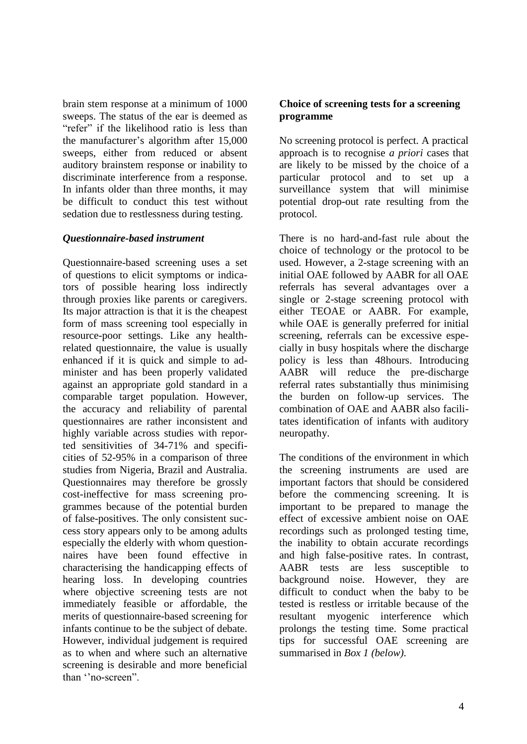brain stem response at a minimum of 1000 sweeps. The status of the ear is deemed as "refer" if the likelihood ratio is less than the manufacturer's algorithm after 15,000 sweeps, either from reduced or absent auditory brainstem response or inability to discriminate interference from a response. In infants older than three months, it may be difficult to conduct this test without sedation due to restlessness during testing.

#### *Questionnaire-based instrument*

Questionnaire-based screening uses a set of questions to elicit symptoms or indicators of possible hearing loss indirectly through proxies like parents or caregivers. Its major attraction is that it is the cheapest form of mass screening tool especially in resource-poor settings. Like any healthrelated questionnaire, the value is usually enhanced if it is quick and simple to administer and has been properly validated against an appropriate gold standard in a comparable target population. However, the accuracy and reliability of parental questionnaires are rather inconsistent and highly variable across studies with reported sensitivities of 34-71% and specificities of 52-95% in a comparison of three studies from Nigeria, Brazil and Australia. Questionnaires may therefore be grossly cost-ineffective for mass screening programmes because of the potential burden of false-positives. The only consistent success story appears only to be among adults especially the elderly with whom questionnaires have been found effective in characterising the handicapping effects of hearing loss. In developing countries where objective screening tests are not immediately feasible or affordable, the merits of questionnaire-based screening for infants continue to be the subject of debate. However, individual judgement is required as to when and where such an alternative screening is desirable and more beneficial than ''no-screen".

## **Choice of screening tests for a screening programme**

No screening protocol is perfect. A practical approach is to recognise *a priori* cases that are likely to be missed by the choice of a particular protocol and to set up a surveillance system that will minimise potential drop-out rate resulting from the protocol.

There is no hard-and-fast rule about the choice of technology or the protocol to be used. However, a 2-stage screening with an initial OAE followed by AABR for all OAE referrals has several advantages over a single or 2-stage screening protocol with either TEOAE or AABR. For example, while OAE is generally preferred for initial screening, referrals can be excessive especially in busy hospitals where the discharge policy is less than 48hours. Introducing AABR will reduce the pre-discharge referral rates substantially thus minimising the burden on follow-up services. The combination of OAE and AABR also facilitates identification of infants with auditory neuropathy.

The conditions of the environment in which the screening instruments are used are important factors that should be considered before the commencing screening. It is important to be prepared to manage the effect of excessive ambient noise on OAE recordings such as prolonged testing time, the inability to obtain accurate recordings and high false-positive rates. In contrast, AABR tests are less susceptible to background noise. However, they are difficult to conduct when the baby to be tested is restless or irritable because of the resultant myogenic interference which prolongs the testing time. Some practical tips for successful OAE screening are summarised in *Box 1 (below)*.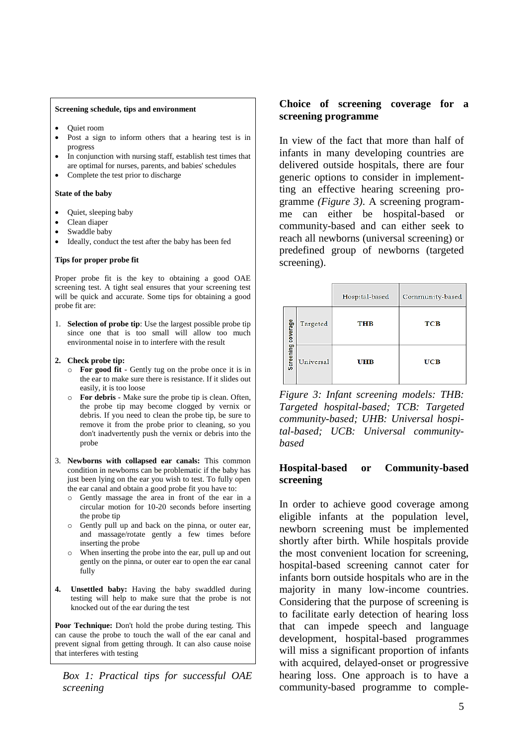#### **Screening schedule, tips and environment**

- Quiet room
- Post a sign to inform others that a hearing test is in progress
- In conjunction with nursing staff, establish test times that are optimal for nurses, parents, and babies' schedules
- Complete the test prior to discharge

#### **State of the baby**

- Quiet, sleeping baby
- Clean diaper
- Swaddle baby
- Ideally, conduct the test after the baby has been fed

#### **Tips for proper probe fit**

Proper probe fit is the key to obtaining a good OAE screening test. A tight seal ensures that your screening test will be quick and accurate. Some tips for obtaining a good probe fit are:

1. **Selection of probe tip**: Use the largest possible probe tip since one that is too small will allow too much environmental noise in to interfere with the result

#### **2. Check probe tip:**

- o **For good fit** Gently tug on the probe once it is in the ear to make sure there is resistance. If it slides out easily, it is too loose
- o **For debris**  Make sure the probe tip is clean. Often, the probe tip may become clogged by vernix or debris. If you need to clean the probe tip, be sure to remove it from the probe prior to cleaning, so you don't inadvertently push the vernix or debris into the probe
- 3. **Newborns with collapsed ear canals:** This common condition in newborns can be problematic if the baby has just been lying on the ear you wish to test. To fully open the ear canal and obtain a good probe fit you have to:
	- o Gently massage the area in front of the ear in a circular motion for 10-20 seconds before inserting the probe tip
	- o Gently pull up and back on the pinna, or outer ear, and massage/rotate gently a few times before inserting the probe
	- o When inserting the probe into the ear, pull up and out gently on the pinna, or outer ear to open the ear canal fully
- **4. Unsettled baby:** Having the baby swaddled during testing will help to make sure that the probe is not knocked out of the ear during the test

**Poor Technique:** Don't hold the probe during testing. This can cause the probe to touch the wall of the ear canal and prevent signal from getting through. It can also cause noise that interferes with testing

*Box 1: Practical tips for successful OAE screening*

#### **Choice of screening coverage for a screening programme**

In view of the fact that more than half of infants in many developing countries are delivered outside hospitals, there are four generic options to consider in implementting an effective hearing screening programme *(Figure 3)*. A screening programme can either be hospital-based or community-based and can either seek to reach all newborns (universal screening) or predefined group of newborns (targeted screening).

|                    |           | Hospital-based | Community-based |
|--------------------|-----------|----------------|-----------------|
| Screening coverage | Targeted  | <b>THB</b>     | <b>TCB</b>      |
|                    | Universal | UHB            | <b>UCB</b>      |

*Figure 3: Infant screening models: THB: Targeted hospital-based; TCB: Targeted community-based; UHB: Universal hospital-based; UCB: Universal communitybased*

#### **Hospital-based or Community-based screening**

In order to achieve good coverage among eligible infants at the population level, newborn screening must be implemented shortly after birth. While hospitals provide the most convenient location for screening, hospital-based screening cannot cater for infants born outside hospitals who are in the majority in many low-income countries. Considering that the purpose of screening is to facilitate early detection of hearing loss that can impede speech and language development, hospital-based programmes will miss a significant proportion of infants with acquired, delayed-onset or progressive hearing loss. One approach is to have a community-based programme to comple-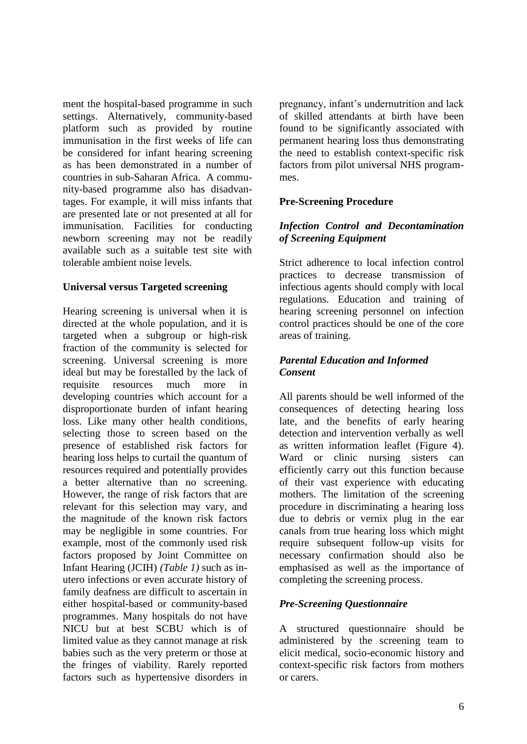ment the hospital-based programme in such settings. Alternatively, community-based platform such as provided by routine immunisation in the first weeks of life can be considered for infant hearing screening as has been demonstrated in a number of countries in sub-Saharan Africa. A community-based programme also has disadvantages. For example, it will miss infants that are presented late or not presented at all for immunisation. Facilities for conducting newborn screening may not be readily available such as a suitable test site with tolerable ambient noise levels.

### **Universal versus Targeted screening**

Hearing screening is universal when it is directed at the whole population, and it is targeted when a subgroup or high-risk fraction of the community is selected for screening. Universal screening is more ideal but may be forestalled by the lack of requisite resources much more in developing countries which account for a disproportionate burden of infant hearing loss. Like many other health conditions, selecting those to screen based on the presence of established risk factors for hearing loss helps to curtail the quantum of resources required and potentially provides a better alternative than no screening. However, the range of risk factors that are relevant for this selection may vary, and the magnitude of the known risk factors may be negligible in some countries. For example, most of the commonly used risk factors proposed by Joint Committee on Infant Hearing (JCIH) *(Table 1)* such as inutero infections or even accurate history of family deafness are difficult to ascertain in either hospital-based or community-based programmes. Many hospitals do not have NICU but at best SCBU which is of limited value as they cannot manage at risk babies such as the very preterm or those at the fringes of viability. Rarely reported factors such as hypertensive disorders in pregnancy, infant's undernutrition and lack of skilled attendants at birth have been found to be significantly associated with permanent hearing loss thus demonstrating the need to establish context-specific risk factors from pilot universal NHS programmes.

# **Pre-Screening Procedure**

# *Infection Control and Decontamination of Screening Equipment*

Strict adherence to local infection control practices to decrease transmission of infectious agents should comply with local regulations. Education and training of hearing screening personnel on infection control practices should be one of the core areas of training.

#### *Parental Education and Informed Consent*

All parents should be well informed of the consequences of detecting hearing loss late, and the benefits of early hearing detection and intervention verbally as well as written information leaflet (Figure 4). Ward or clinic nursing sisters can efficiently carry out this function because of their vast experience with educating mothers. The limitation of the screening procedure in discriminating a hearing loss due to debris or vernix plug in the ear canals from true hearing loss which might require subsequent follow-up visits for necessary confirmation should also be emphasised as well as the importance of completing the screening process.

### *Pre-Screening Questionnaire*

A structured questionnaire should be administered by the screening team to elicit medical, socio-economic history and context-specific risk factors from mothers or carers.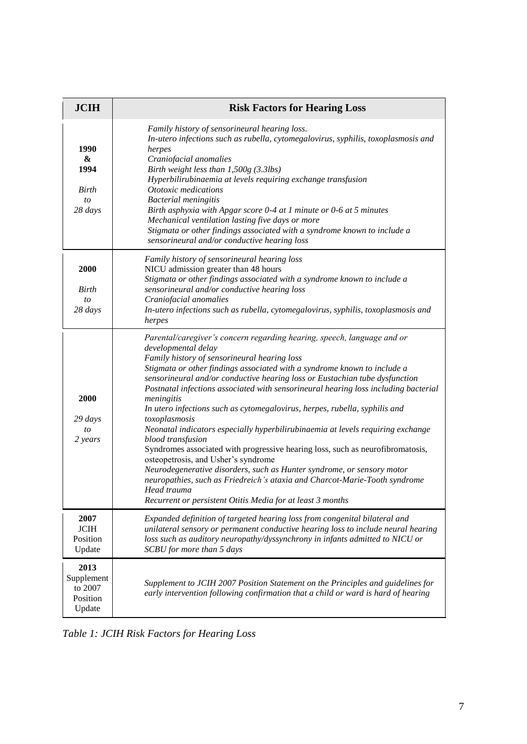| <b>JCIH</b>                                         | <b>Risk Factors for Hearing Loss</b>                                                                                                                                                                                                                                                                                                                                                                                                                                                                                                                                                                                                                                                                                                                                                                                                                                                                                                                                                |  |  |
|-----------------------------------------------------|-------------------------------------------------------------------------------------------------------------------------------------------------------------------------------------------------------------------------------------------------------------------------------------------------------------------------------------------------------------------------------------------------------------------------------------------------------------------------------------------------------------------------------------------------------------------------------------------------------------------------------------------------------------------------------------------------------------------------------------------------------------------------------------------------------------------------------------------------------------------------------------------------------------------------------------------------------------------------------------|--|--|
| 1990<br>&<br>1994<br>Birth<br>to<br>28 days         | Family history of sensorineural hearing loss.<br>In-utero infections such as rubella, cytomegalovirus, syphilis, toxoplasmosis and<br>herpes<br>Craniofacial anomalies<br>Birth weight less than 1,500g (3.3lbs)<br>Hyperbilirubinaemia at levels requiring exchange transfusion<br>Ototoxic medications<br><b>Bacterial</b> meningitis<br>Birth asphyxia with Apgar score 0-4 at 1 minute or 0-6 at 5 minutes<br>Mechanical ventilation lasting five days or more<br>Stigmata or other findings associated with a syndrome known to include a<br>sensorineural and/or conductive hearing loss                                                                                                                                                                                                                                                                                                                                                                                      |  |  |
| 2000<br>Birth<br>to<br>28 days                      | Family history of sensorineural hearing loss<br>NICU admission greater than 48 hours<br>Stigmata or other findings associated with a syndrome known to include a<br>sensorineural and/or conductive hearing loss<br>Craniofacial anomalies<br>In-utero infections such as rubella, cytomegalovirus, syphilis, toxoplasmosis and<br>herpes                                                                                                                                                                                                                                                                                                                                                                                                                                                                                                                                                                                                                                           |  |  |
| 2000<br>29 days<br>to<br>2 years                    | Parental/caregiver's concern regarding hearing, speech, language and or<br>developmental delay<br>Family history of sensorineural hearing loss<br>Stigmata or other findings associated with a syndrome known to include a<br>sensorineural and/or conductive hearing loss or Eustachian tube dysfunction<br>Postnatal infections associated with sensorineural hearing loss including bacterial<br>meningitis<br>In utero infections such as cytomegalovirus, herpes, rubella, syphilis and<br>toxoplasmosis<br>Neonatal indicators especially hyperbilirubinaemia at levels requiring exchange<br>blood transfusion<br>Syndromes associated with progressive hearing loss, such as neurofibromatosis,<br>osteopetrosis, and Usher's syndrome<br>Neurodegenerative disorders, such as Hunter syndrome, or sensory motor<br>neuropathies, such as Friedreich's ataxia and Charcot-Marie-Tooth syndrome<br>Head trauma<br>Recurrent or persistent Otitis Media for at least 3 months |  |  |
| 2007<br><b>JCIH</b><br>Position<br>Update           | Expanded definition of targeted hearing loss from congenital bilateral and<br>unilateral sensory or permanent conductive hearing loss to include neural hearing<br>loss such as auditory neuropathy/dyssynchrony in infants admitted to NICU or<br>SCBU for more than 5 days                                                                                                                                                                                                                                                                                                                                                                                                                                                                                                                                                                                                                                                                                                        |  |  |
| 2013<br>Supplement<br>to 2007<br>Position<br>Update | Supplement to JCIH 2007 Position Statement on the Principles and guidelines for<br>early intervention following confirmation that a child or ward is hard of hearing                                                                                                                                                                                                                                                                                                                                                                                                                                                                                                                                                                                                                                                                                                                                                                                                                |  |  |

*Table 1: JCIH Risk Factors for Hearing Loss*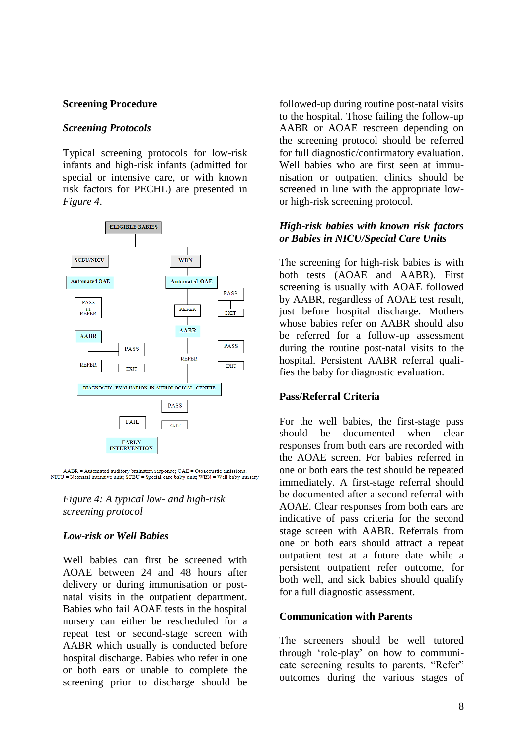#### **Screening Procedure**

#### *Screening Protocols*

Typical screening protocols for low-risk infants and high-risk infants (admitted for special or intensive care, or with known risk factors for PECHL) are presented in *Figure 4*.



 ${\rm AABR} = {\rm Automated\;auditory\;br}$   ${\rm NLCU} = {\rm Neonatal\;int}; {\rm SCBU} = {\rm Special\;care\;baby\;unit;\;WBN} = {\rm Well\;baby\;nurgery}$ 

*Figure 4: A typical low- and high-risk screening protocol*

### *Low-risk or Well Babies*

Well babies can first be screened with AOAE between 24 and 48 hours after delivery or during immunisation or postnatal visits in the outpatient department. Babies who fail AOAE tests in the hospital nursery can either be rescheduled for a repeat test or second-stage screen with AABR which usually is conducted before hospital discharge. Babies who refer in one or both ears or unable to complete the screening prior to discharge should be

followed-up during routine post-natal visits to the hospital. Those failing the follow-up AABR or AOAE rescreen depending on the screening protocol should be referred for full diagnostic/confirmatory evaluation. Well babies who are first seen at immunisation or outpatient clinics should be screened in line with the appropriate lowor high-risk screening protocol.

## *High-risk babies with known risk factors or Babies in NICU/Special Care Units*

The screening for high-risk babies is with both tests (AOAE and AABR). First screening is usually with AOAE followed by AABR, regardless of AOAE test result, just before hospital discharge. Mothers whose babies refer on AABR should also be referred for a follow-up assessment during the routine post-natal visits to the hospital. Persistent AABR referral qualifies the baby for diagnostic evaluation.

### **Pass/Referral Criteria**

For the well babies, the first-stage pass should be documented when clear responses from both ears are recorded with the AOAE screen. For babies referred in one or both ears the test should be repeated immediately. A first-stage referral should be documented after a second referral with AOAE. Clear responses from both ears are indicative of pass criteria for the second stage screen with AABR. Referrals from one or both ears should attract a repeat outpatient test at a future date while a persistent outpatient refer outcome, for both well, and sick babies should qualify for a full diagnostic assessment.

### **Communication with Parents**

The screeners should be well tutored through 'role-play' on how to communicate screening results to parents. "Refer" outcomes during the various stages of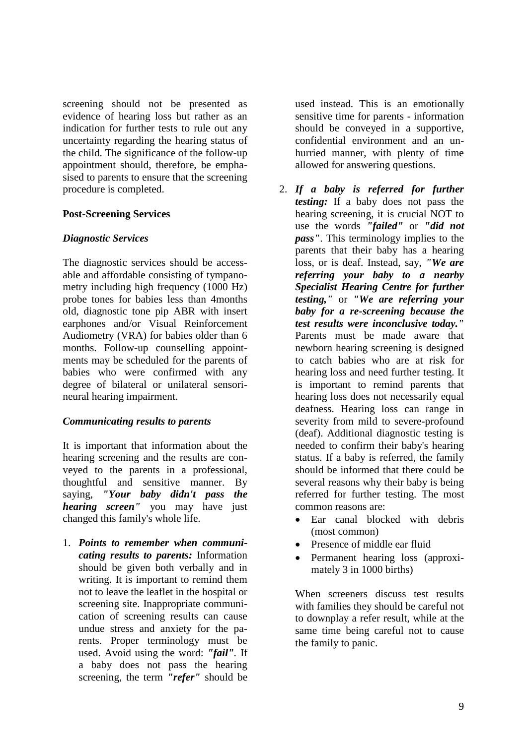screening should not be presented as evidence of hearing loss but rather as an indication for further tests to rule out any uncertainty regarding the hearing status of the child. The significance of the follow-up appointment should, therefore, be emphasised to parents to ensure that the screening procedure is completed.

#### **Post-Screening Services**

#### *Diagnostic Services*

The diagnostic services should be accessable and affordable consisting of tympanometry including high frequency (1000 Hz) probe tones for babies less than 4months old, diagnostic tone pip ABR with insert earphones and/or Visual Reinforcement Audiometry (VRA) for babies older than 6 months. Follow-up counselling appointments may be scheduled for the parents of babies who were confirmed with any degree of bilateral or unilateral sensorineural hearing impairment.

### *Communicating results to parents*

It is important that information about the hearing screening and the results are conveyed to the parents in a professional, thoughtful and sensitive manner. By saying, *"Your baby didn't pass the hearing screen"* you may have just changed this family's whole life.

1. *Points to remember when communicating results to parents:* Information should be given both verbally and in writing. It is important to remind them not to leave the leaflet in the hospital or screening site. Inappropriate communication of screening results can cause undue stress and anxiety for the parents. Proper terminology must be used. Avoid using the word: *"fail".* If a baby does not pass the hearing screening, the term *"refer"* should be used instead. This is an emotionally sensitive time for parents - information should be conveyed in a supportive, confidential environment and an unhurried manner, with plenty of time allowed for answering questions.

- 2. *If a baby is referred for further testing:* If a baby does not pass the hearing screening, it is crucial NOT to use the words *"failed"* or *"did not pass"*. This terminology implies to the parents that their baby has a hearing loss, or is deaf. Instead, say, *"We are referring your baby to a nearby Specialist Hearing Centre for further testing,"* or *"We are referring your baby for a re-screening because the test results were inconclusive today."* Parents must be made aware that newborn hearing screening is designed to catch babies who are at risk for hearing loss and need further testing. It is important to remind parents that hearing loss does not necessarily equal deafness. Hearing loss can range in severity from mild to severe-profound (deaf). Additional diagnostic testing is needed to confirm their baby's hearing status. If a baby is referred, the family should be informed that there could be several reasons why their baby is being referred for further testing. The most common reasons are:
	- Ear canal blocked with debris (most common)
	- Presence of middle ear fluid
	- Permanent hearing loss (approximately 3 in 1000 births)

When screeners discuss test results with families they should be careful not to downplay a refer result, while at the same time being careful not to cause the family to panic.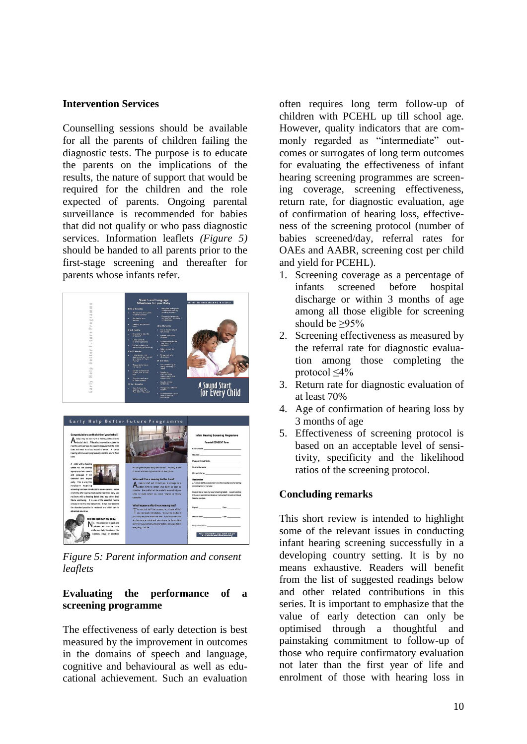#### **Intervention Services**

Counselling sessions should be available for all the parents of children failing the diagnostic tests. The purpose is to educate the parents on the implications of the results, the nature of support that would be required for the children and the role expected of parents. Ongoing parental surveillance is recommended for babies that did not qualify or who pass diagnostic services. Information leaflets *(Figure 5)*  should be handed to all parents prior to the first-stage screening and thereafter for parents whose infants refer.



*Figure 5: Parent information and consent leaflets*

#### **Evaluating the performance of a screening programme**

The effectiveness of early detection is best measured by the improvement in outcomes in the domains of speech and language, cognitive and behavioural as well as educational achievement. Such an evaluation

often requires long term follow-up of children with PCEHL up till school age. However, quality indicators that are commonly regarded as "intermediate" outcomes or surrogates of long term outcomes for evaluating the effectiveness of infant hearing screening programmes are screening coverage, screening effectiveness, return rate, for diagnostic evaluation, age of confirmation of hearing loss, effectiveness of the screening protocol (number of babies screened/day, referral rates for OAEs and AABR, screening cost per child and yield for PCEHL).

- 1. Screening coverage as a percentage of infants screened before hospital discharge or within 3 months of age among all those eligible for screening should be ≥95%
- 2. Screening effectiveness as measured by the referral rate for diagnostic evaluation among those completing the protocol ≤4%
- 3. Return rate for diagnostic evaluation of at least 70%
- 4. Age of confirmation of hearing loss by 3 months of age
- 5. Effectiveness of screening protocol is based on an acceptable level of sensitivity, specificity and the likelihood ratios of the screening protocol.

# **Concluding remarks**

This short review is intended to highlight some of the relevant issues in conducting infant hearing screening successfully in a developing country setting. It is by no means exhaustive. Readers will benefit from the list of suggested readings below and other related contributions in this series. It is important to emphasize that the value of early detection can only be optimised through a thoughtful and painstaking commitment to follow-up of those who require confirmatory evaluation not later than the first year of life and enrolment of those with hearing loss in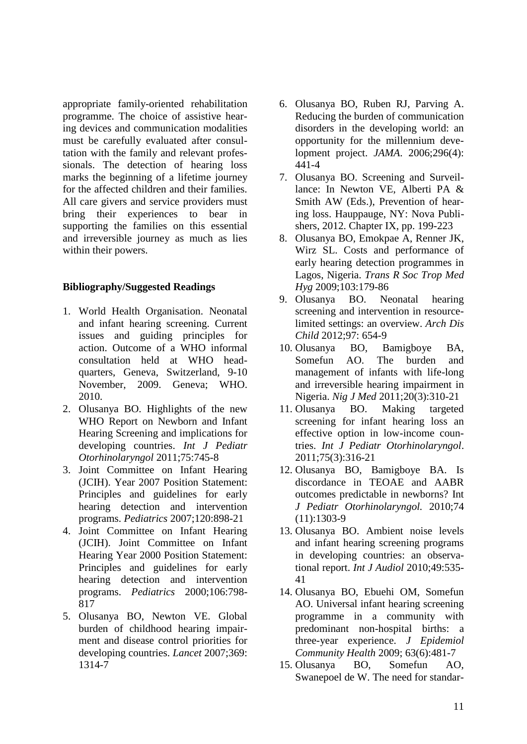appropriate family-oriented rehabilitation programme. The choice of assistive hearing devices and communication modalities must be carefully evaluated after consultation with the family and relevant professionals. The detection of hearing loss marks the beginning of a lifetime journey for the affected children and their families. All care givers and service providers must bring their experiences to bear in supporting the families on this essential and irreversible journey as much as lies within their powers.

### **Bibliography/Suggested Readings**

- 1. World Health Organisation. Neonatal and infant hearing screening. Current issues and guiding principles for action. Outcome of a WHO informal consultation held at WHO headquarters, Geneva, Switzerland, 9-10 November, 2009. Geneva; WHO. 2010.
- 2. Olusanya BO. Highlights of the new WHO Report on Newborn and Infant Hearing Screening and implications for developing countries. *Int J Pediatr Otorhinolaryngol* 2011;75:745-8
- 3. Joint Committee on Infant Hearing (JCIH). Year 2007 Position Statement: Principles and guidelines for early hearing detection and intervention programs. *Pediatrics* 2007;120:898-21
- 4. Joint Committee on Infant Hearing (JCIH). Joint Committee on Infant Hearing Year 2000 Position Statement: Principles and guidelines for early hearing detection and intervention programs. *Pediatrics* 2000;106:798- 817
- 5. Olusanya BO, Newton VE. Global burden of childhood hearing impairment and disease control priorities for developing countries. *Lancet* 2007;369: 1314-7
- 6. Olusanya BO, Ruben RJ, Parving A. Reducing the burden of communication disorders in the developing world: an opportunity for the millennium development project. *JAMA*. 2006;296(4): 441-4
- 7. Olusanya BO. Screening and Surveillance: In Newton VE, Alberti PA & Smith AW (Eds.), Prevention of hearing loss. Hauppauge, NY: Nova Publishers, 2012. Chapter IX, pp. 199-223
- 8. Olusanya BO, Emokpae A, Renner JK, Wirz SL. Costs and performance of early hearing detection programmes in Lagos, Nigeria. *Trans R Soc Trop Med Hyg* 2009;103:179-86
- 9. Olusanya BO. Neonatal hearing screening and intervention in resourcelimited settings: an overview. *Arch Dis Child* 2012;97: 654-9
- 10. Olusanya BO, Bamigboye BA, Somefun AO. The burden and management of infants with life-long and irreversible hearing impairment in Nigeria. *Nig J Med* 2011;20(3):310-21
- 11. Olusanya BO. Making targeted screening for infant hearing loss an effective option in low-income countries. *Int J Pediatr Otorhinolaryngol*. 2011;75(3):316-21
- 12. Olusanya BO, Bamigboye BA. Is discordance in TEOAE and AABR outcomes predictable in newborns? Int *J Pediatr Otorhinolaryngol.* 2010;74 (11):1303-9
- 13. Olusanya BO. Ambient noise levels and infant hearing screening programs in developing countries: an observational report. *Int J Audiol* 2010;49:535- 41
- 14. Olusanya BO, Ebuehi OM, Somefun AO. Universal infant hearing screening programme in a community with predominant non-hospital births: a three-year experience. *J Epidemiol Community Health* 2009; 63(6):481-7
- 15. Olusanya BO, Somefun AO, Swanepoel de W. The need for standar-